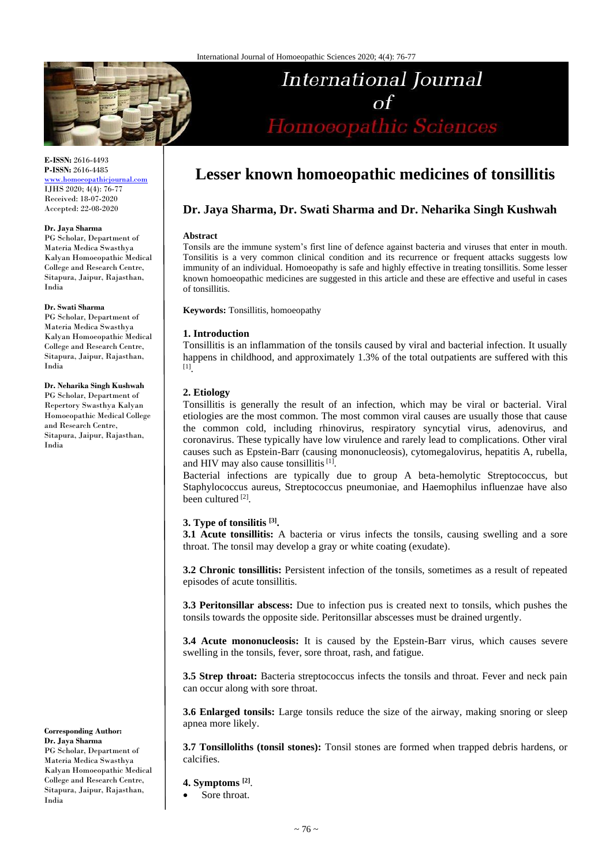

**E-ISSN:** 2616-4493 **P-ISSN:** 2616-4485 [www.homoeopathicjournal.com](http://www.homoeopathicjournal.com/) IJHS 2020; 4(4): 76-77

Received: 18-07-2020 Accepted: 22-08-2020

#### **Dr. Jaya Sharma**

PG Scholar, Department of Materia Medica Swasthya Kalyan Homoeopathic Medical College and Research Centre, Sitapura, Jaipur, Rajasthan, India

# **Dr. Swati Sharma**

PG Scholar, Department of Materia Medica Swasthya Kalyan Homoeopathic Medical College and Research Centre, Sitapura, Jaipur, Rajasthan, India

#### **Dr. Neharika Singh Kushwah**

PG Scholar, Department of Repertory Swasthya Kalyan Homoeopathic Medical College and Research Centre, Sitapura, Jaipur, Rajasthan, India

**Corresponding Author: Dr. Jaya Sharma** PG Scholar, Department of Materia Medica Swasthya Kalyan Homoeopathic Medical College and Research Centre, Sitapura, Jaipur, Rajasthan, India

# **Lesser known homoeopathic medicines of tonsillitis**

International Journal

 $\sigma f$ 

Homoeopathic Sciences

# **Dr. Jaya Sharma, Dr. Swati Sharma and Dr. Neharika Singh Kushwah**

#### **Abstract**

Tonsils are the immune system's first line of defence against bacteria and viruses that enter in mouth. Tonsilitis is a very common clinical condition and its recurrence or frequent attacks suggests low immunity of an individual. Homoeopathy is safe and highly effective in treating tonsillitis. Some lesser known homoeopathic medicines are suggested in this article and these are effective and useful in cases of tonsillitis.

**Keywords:** Tonsillitis, homoeopathy

## **1. Introduction**

Tonsillitis is an inflammation of the tonsils caused by viral and bacterial infection. It usually happens in childhood, and approximately 1.3% of the total outpatients are suffered with this [1] .

## **2. Etiology**

Tonsillitis is generally the result of an infection, which may be viral or bacterial. Viral etiologies are the most common. The most common viral causes are usually those that cause the common cold, including rhinovirus, respiratory syncytial virus, adenovirus, and coronavirus. These typically have low virulence and rarely lead to complications. Other viral causes such as Epstein-Barr (causing mononucleosis), cytomegalovirus, hepatitis A, rubella, and HIV may also cause tonsillitis<sup>[1]</sup>.

Bacterial infections are typically due to group A beta-hemolytic Streptococcus, but Staphylococcus aureus, Streptococcus pneumoniae, and Haemophilus influenzae have also been cultured<sup>[2]</sup>.

# **3. Type of tonsilitis [3] .**

**3.1 Acute tonsillitis:** A bacteria or virus infects the tonsils, causing swelling and a sore throat. The tonsil may develop a gray or white coating (exudate).

**3.2 Chronic tonsillitis:** Persistent infection of the tonsils, sometimes as a result of repeated episodes of acute tonsillitis.

**3.3 Peritonsillar abscess:** Due to infection pus is created next to tonsils, which pushes the tonsils towards the opposite side. Peritonsillar abscesses must be drained urgently.

**3.4 Acute mononucleosis:** It is caused by the Epstein-Barr virus, which causes severe swelling in the tonsils, fever, sore throat, rash, and fatigue.

**3.5 Strep throat:** Bacteria streptococcus infects the tonsils and throat. Fever and neck pain can occur along with sore throat.

**3.6 Enlarged tonsils:** Large tonsils reduce the size of the airway, making snoring or sleep apnea more likely.

**3.7 Tonsilloliths (tonsil stones):** Tonsil stones are formed when trapped debris hardens, or calcifies.

### **4. Symptoms [2]** .

Sore throat.